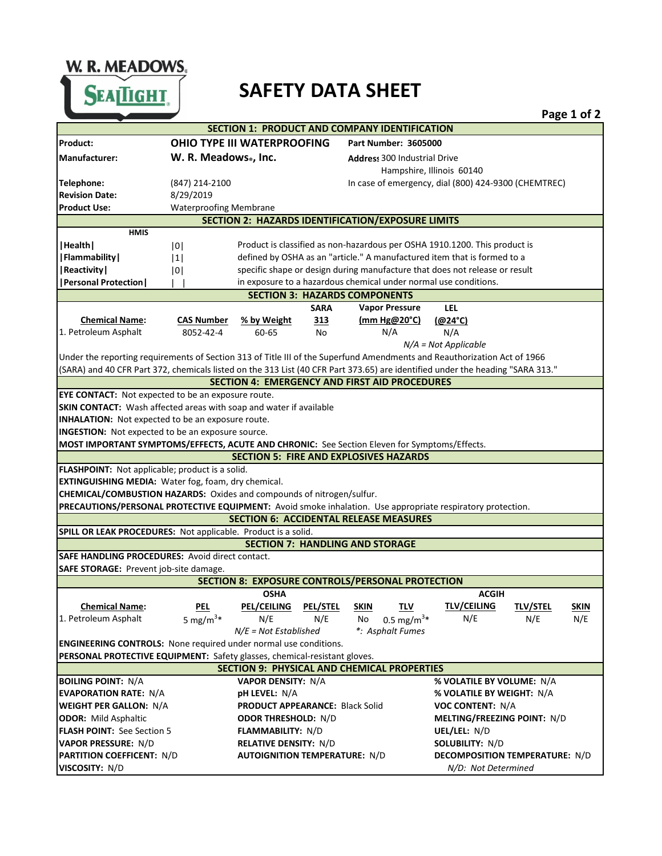W. R. MEADOWS.

## **SAFETY DATA SHEET**

|                                                                                                                                 |                                                                                   |                                      |                 |                                                      |                                       |                 | Page 1 or 2 |  |  |
|---------------------------------------------------------------------------------------------------------------------------------|-----------------------------------------------------------------------------------|--------------------------------------|-----------------|------------------------------------------------------|---------------------------------------|-----------------|-------------|--|--|
|                                                                                                                                 |                                                                                   |                                      |                 | <b>SECTION 1: PRODUCT AND COMPANY IDENTIFICATION</b> |                                       |                 |             |  |  |
| Product:                                                                                                                        | OHIO TYPE III WATERPROOFING                                                       |                                      |                 | <b>Part Number: 3605000</b>                          |                                       |                 |             |  |  |
| <b>Manufacturer:</b>                                                                                                            | W. R. Meadows., Inc.                                                              |                                      |                 | <b>Address 300 Industrial Drive</b>                  |                                       |                 |             |  |  |
|                                                                                                                                 |                                                                                   |                                      |                 |                                                      | Hampshire, Illinois 60140             |                 |             |  |  |
| Telephone:                                                                                                                      | (847) 214-2100                                                                    |                                      |                 | In case of emergency, dial (800) 424-9300 (CHEMTREC) |                                       |                 |             |  |  |
| <b>Revision Date:</b>                                                                                                           | 8/29/2019                                                                         |                                      |                 |                                                      |                                       |                 |             |  |  |
| <b>Product Use:</b>                                                                                                             | <b>Waterproofing Membrane</b>                                                     |                                      |                 |                                                      |                                       |                 |             |  |  |
| <b>SECTION 2: HAZARDS IDENTIFICATION/EXPOSURE LIMITS</b>                                                                        |                                                                                   |                                      |                 |                                                      |                                       |                 |             |  |  |
| <b>HMIS</b>                                                                                                                     |                                                                                   |                                      |                 |                                                      |                                       |                 |             |  |  |
| Health                                                                                                                          | Product is classified as non-hazardous per OSHA 1910.1200. This product is<br> 0  |                                      |                 |                                                      |                                       |                 |             |  |  |
| <b>Flammability</b>                                                                                                             | defined by OSHA as an "article." A manufactured item that is formed to a<br> 1    |                                      |                 |                                                      |                                       |                 |             |  |  |
| <b>Reactivity</b>                                                                                                               | specific shape or design during manufacture that does not release or result<br> 0 |                                      |                 |                                                      |                                       |                 |             |  |  |
| <b>Personal Protection</b>                                                                                                      | in exposure to a hazardous chemical under normal use conditions.                  |                                      |                 |                                                      |                                       |                 |             |  |  |
|                                                                                                                                 |                                                                                   |                                      |                 | <b>SECTION 3: HAZARDS COMPONENTS</b>                 |                                       |                 |             |  |  |
|                                                                                                                                 |                                                                                   |                                      | <b>SARA</b>     | <b>Vapor Pressure</b>                                | <b>LEL</b>                            |                 |             |  |  |
| <b>Chemical Name:</b>                                                                                                           | <b>CAS Number</b>                                                                 | % by Weight                          | 313             | $(mm Hg@20^{\circ}C)$                                | $(@24^{\circ}C)$                      |                 |             |  |  |
| 1. Petroleum Asphalt                                                                                                            | 8052-42-4                                                                         | 60-65                                | No              | N/A                                                  | N/A                                   |                 |             |  |  |
|                                                                                                                                 |                                                                                   |                                      |                 |                                                      | $N/A = Not Applicable$                |                 |             |  |  |
| Under the reporting requirements of Section 313 of Title III of the Superfund Amendments and Reauthorization Act of 1966        |                                                                                   |                                      |                 |                                                      |                                       |                 |             |  |  |
| (SARA) and 40 CFR Part 372, chemicals listed on the 313 List (40 CFR Part 373.65) are identified under the heading "SARA 313."  |                                                                                   |                                      |                 |                                                      |                                       |                 |             |  |  |
| <b>SECTION 4: EMERGENCY AND FIRST AID PROCEDURES</b>                                                                            |                                                                                   |                                      |                 |                                                      |                                       |                 |             |  |  |
| <b>EYE CONTACT:</b> Not expected to be an exposure route.                                                                       |                                                                                   |                                      |                 |                                                      |                                       |                 |             |  |  |
| SKIN CONTACT: Wash affected areas with soap and water if available                                                              |                                                                                   |                                      |                 |                                                      |                                       |                 |             |  |  |
| <b>INHALATION:</b> Not expected to be an exposure route.                                                                        |                                                                                   |                                      |                 |                                                      |                                       |                 |             |  |  |
| <b>INGESTION:</b> Not expected to be an exposure source.                                                                        |                                                                                   |                                      |                 |                                                      |                                       |                 |             |  |  |
| MOST IMPORTANT SYMPTOMS/EFFECTS, ACUTE AND CHRONIC: See Section Eleven for Symptoms/Effects.                                    |                                                                                   |                                      |                 |                                                      |                                       |                 |             |  |  |
| <b>SECTION 5: FIRE AND EXPLOSIVES HAZARDS</b>                                                                                   |                                                                                   |                                      |                 |                                                      |                                       |                 |             |  |  |
| FLASHPOINT: Not applicable; product is a solid.                                                                                 |                                                                                   |                                      |                 |                                                      |                                       |                 |             |  |  |
| EXTINGUISHING MEDIA: Water fog, foam, dry chemical.                                                                             |                                                                                   |                                      |                 |                                                      |                                       |                 |             |  |  |
| CHEMICAL/COMBUSTION HAZARDS: Oxides and compounds of nitrogen/sulfur.                                                           |                                                                                   |                                      |                 |                                                      |                                       |                 |             |  |  |
| PRECAUTIONS/PERSONAL PROTECTIVE EQUIPMENT: Avoid smoke inhalation. Use appropriate respiratory protection.                      |                                                                                   |                                      |                 |                                                      |                                       |                 |             |  |  |
|                                                                                                                                 |                                                                                   |                                      |                 | <b>SECTION 6: ACCIDENTAL RELEASE MEASURES</b>        |                                       |                 |             |  |  |
| SPILL OR LEAK PROCEDURES: Not applicable. Product is a solid.                                                                   |                                                                                   |                                      |                 |                                                      |                                       |                 |             |  |  |
| <b>SECTION 7: HANDLING AND STORAGE</b>                                                                                          |                                                                                   |                                      |                 |                                                      |                                       |                 |             |  |  |
| <b>SAFE HANDLING PROCEDURES: Avoid direct contact.</b>                                                                          |                                                                                   |                                      |                 |                                                      |                                       |                 |             |  |  |
| SAFE STORAGE: Prevent job-site damage.                                                                                          |                                                                                   |                                      |                 |                                                      |                                       |                 |             |  |  |
| SECTION 8: EXPOSURE CONTROLS/PERSONAL PROTECTION                                                                                |                                                                                   |                                      |                 |                                                      |                                       |                 |             |  |  |
|                                                                                                                                 |                                                                                   | <b>OSHA</b>                          |                 |                                                      | <b>ACGIH</b>                          |                 |             |  |  |
| <b>Chemical Name:</b>                                                                                                           | <b>PEL</b>                                                                        | <b>PEL/CEILING</b>                   | <b>PEL/STEL</b> | <b>TLV</b><br><b>SKIN</b>                            | <b>TLV/CEILING</b>                    | <b>TLV/STEL</b> | <b>SKIN</b> |  |  |
| 1. Petroleum Asphalt                                                                                                            | 5 mg/m <sup>3*</sup>                                                              | N/E                                  | N/E             | 0.5 mg/m <sup>3*</sup><br>No                         | N/E                                   | N/E             | N/E         |  |  |
|                                                                                                                                 |                                                                                   | $N/E = Not$ Established              |                 | *: Asphalt Fumes                                     |                                       |                 |             |  |  |
| <b>ENGINEERING CONTROLS:</b> None required under normal use conditions.                                                         |                                                                                   |                                      |                 |                                                      |                                       |                 |             |  |  |
| PERSONAL PROTECTIVE EQUIPMENT: Safety glasses, chemical-resistant gloves.<br><b>SECTION 9: PHYSICAL AND CHEMICAL PROPERTIES</b> |                                                                                   |                                      |                 |                                                      |                                       |                 |             |  |  |
|                                                                                                                                 |                                                                                   |                                      |                 |                                                      |                                       |                 |             |  |  |
| <b>BOILING POINT: N/A</b>                                                                                                       |                                                                                   | <b>VAPOR DENSITY: N/A</b>            |                 |                                                      | % VOLATILE BY VOLUME: N/A             |                 |             |  |  |
| <b>EVAPORATION RATE: N/A</b>                                                                                                    | <b>pH LEVEL: N/A</b>                                                              |                                      |                 |                                                      | % VOLATILE BY WEIGHT: N/A             |                 |             |  |  |
| <b>WEIGHT PER GALLON: N/A</b>                                                                                                   | <b>PRODUCT APPEARANCE: Black Solid</b>                                            |                                      |                 |                                                      | <b>VOC CONTENT: N/A</b>               |                 |             |  |  |
| <b>ODOR: Mild Asphaltic</b>                                                                                                     | <b>ODOR THRESHOLD: N/D</b>                                                        |                                      |                 |                                                      | MELTING/FREEZING POINT: N/D           |                 |             |  |  |
| <b>FLASH POINT: See Section 5</b>                                                                                               | <b>FLAMMABILITY: N/D</b>                                                          |                                      |                 |                                                      | UEL/LEL: N/D                          |                 |             |  |  |
| <b>VAPOR PRESSURE: N/D</b>                                                                                                      | <b>RELATIVE DENSITY: N/D</b>                                                      |                                      |                 |                                                      | <b>SOLUBILITY: N/D</b>                |                 |             |  |  |
| <b>PARTITION COEFFICENT: N/D</b>                                                                                                |                                                                                   | <b>AUTOIGNITION TEMPERATURE: N/D</b> |                 |                                                      | <b>DECOMPOSITION TEMPERATURE: N/D</b> |                 |             |  |  |
| VISCOSITY: N/D                                                                                                                  |                                                                                   |                                      |                 |                                                      | N/D: Not Determined                   |                 |             |  |  |